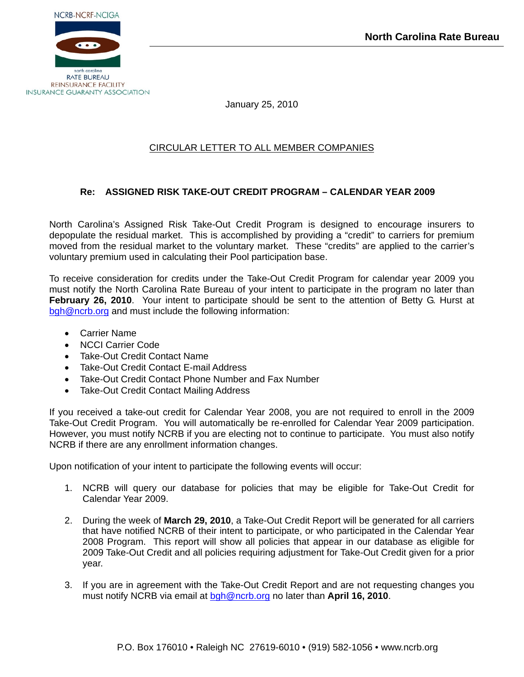

January 25, 2010

## CIRCULAR LETTER TO ALL MEMBER COMPANIES

## **Re: ASSIGNED RISK TAKE-OUT CREDIT PROGRAM – CALENDAR YEAR 2009**

North Carolina's Assigned Risk Take-Out Credit Program is designed to encourage insurers to depopulate the residual market. This is accomplished by providing a "credit" to carriers for premium moved from the residual market to the voluntary market. These "credits" are applied to the carrier's voluntary premium used in calculating their Pool participation base.

To receive consideration for credits under the Take-Out Credit Program for calendar year 2009 you must notify the North Carolina Rate Bureau of your intent to participate in the program no later than **February 26, 2010.** Your intent to participate should be sent to the attention of Betty G. Hurst at [bgh@ncrb.org](mailto:bgh@ncrb.org) and must include the following information:

- Carrier Name
- NCCI Carrier Code
- Take-Out Credit Contact Name
- Take-Out Credit Contact E-mail Address
- Take-Out Credit Contact Phone Number and Fax Number
- Take-Out Credit Contact Mailing Address

If you received a take-out credit for Calendar Year 2008, you are not required to enroll in the 2009 Take-Out Credit Program. You will automatically be re-enrolled for Calendar Year 2009 participation. However, you must notify NCRB if you are electing not to continue to participate. You must also notify NCRB if there are any enrollment information changes.

Upon notification of your intent to participate the following events will occur:

- 1. NCRB will query our database for policies that may be eligible for Take-Out Credit for Calendar Year 2009.
- 2. During the week of **March 29, 2010**, a Take-Out Credit Report will be generated for all carriers that have notified NCRB of their intent to participate, or who participated in the Calendar Year 2008 Program. This report will show all policies that appear in our database as eligible for 2009 Take-Out Credit and all policies requiring adjustment for Take-Out Credit given for a prior year.
- 3. If you are in agreement with the Take-Out Credit Report and are not requesting changes you must notify NCRB via email at [bgh@ncrb.org](mailto:bgh@ncrb.org) no later than **April 16, 2010**.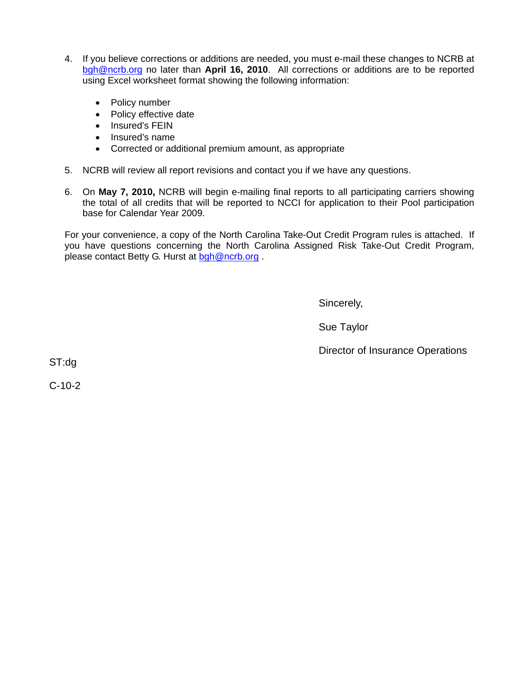- 4. If you believe corrections or additions are needed, you must e-mail these changes to NCRB at [bgh@ncrb.org](mailto:bgh@ncrb.org) no later than **April 16, 2010**. All corrections or additions are to be reported using Excel worksheet format showing the following information:
	- Policy number
	- Policy effective date
	- Insured's FEIN
	- Insured's name
	- Corrected or additional premium amount, as appropriate
- 5. NCRB will review all report revisions and contact you if we have any questions.
- 6. On **May 7, 2010,** NCRB will begin e-mailing final reports to all participating carriers showing the total of all credits that will be reported to NCCI for application to their Pool participation base for Calendar Year 2009.

For your convenience, a copy of the North Carolina Take-Out Credit Program rules is attached. If you have questions concerning the North Carolina Assigned Risk Take-Out Credit Program, please contact Betty G. Hurst at [bgh@ncrb.org](mailto:bgh@ncrb.org).

Sincerely,

Sue Taylor

Director of Insurance Operations

ST:dg

C-10-2